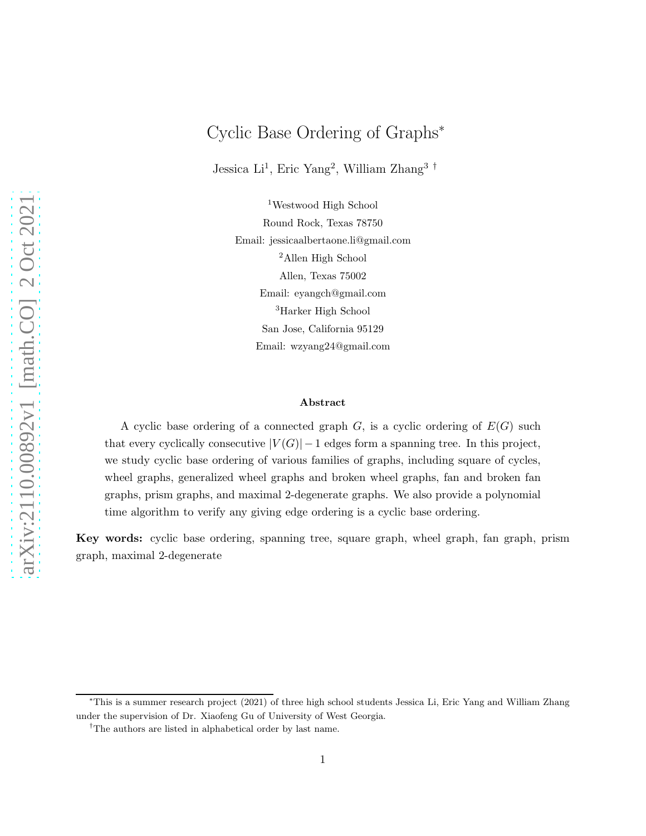# Cyclic Base Ordering of Graphs<sup>∗</sup>

Jessica Li<sup>1</sup>, Eric Yang<sup>2</sup>, William Zhang<sup>3†</sup>

<sup>1</sup>Westwood High School Round Rock, Texas 78750 Email: jessicaalbertaone.li@gmail.com <sup>2</sup>Allen High School Allen, Texas 75002 Email: eyangch@gmail.com <sup>3</sup>Harker High School San Jose, California 95129 Email: wzyang24@gmail.com

#### Abstract

A cyclic base ordering of a connected graph  $G$ , is a cyclic ordering of  $E(G)$  such that every cyclically consecutive  $|V(G)|-1$  edges form a spanning tree. In this project, we study cyclic base ordering of various families of graphs, including square of cycles, wheel graphs, generalized wheel graphs and broken wheel graphs, fan and broken fan graphs, prism graphs, and maximal 2-degenerate graphs. We also provide a polynomial time algorithm to verify any giving edge ordering is a cyclic base ordering.

Key words: cyclic base ordering, spanning tree, square graph, wheel graph, fan graph, prism graph, maximal 2-degenerate

<sup>∗</sup>This is a summer research project (2021) of three high school students Jessica Li, Eric Yang and William Zhang under the supervision of Dr. Xiaofeng Gu of University of West Georgia.

<sup>†</sup>The authors are listed in alphabetical order by last name.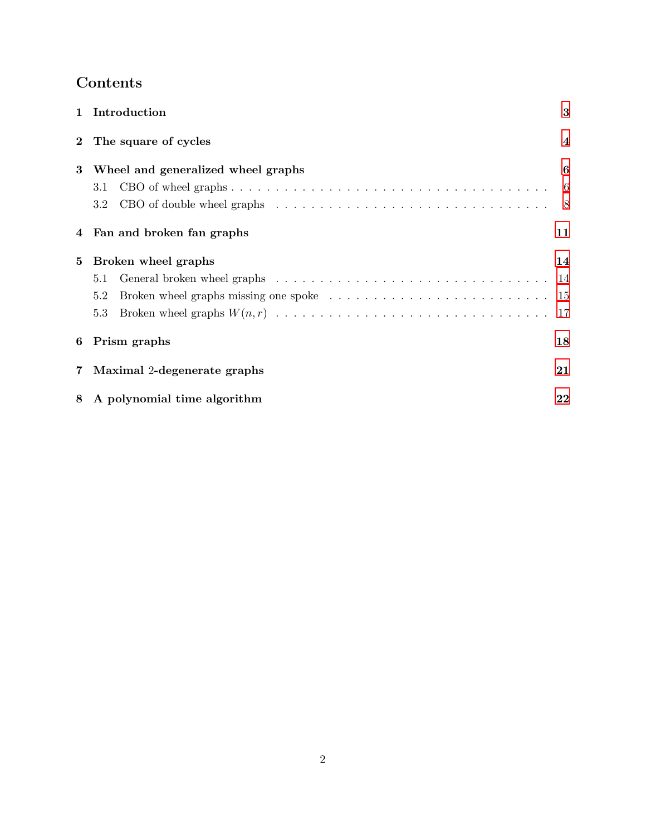# Contents

|                | 1 Introduction                                                                                                     | 3                        |
|----------------|--------------------------------------------------------------------------------------------------------------------|--------------------------|
| $\overline{2}$ | The square of cycles                                                                                               | $\overline{\mathcal{A}}$ |
| $\bf{3}$       | Wheel and generalized wheel graphs                                                                                 | 6                        |
|                | 3.1                                                                                                                | -6                       |
|                | CBO of double wheel graphs $\ldots \ldots \ldots \ldots \ldots \ldots \ldots \ldots \ldots \ldots \ldots 8$<br>3.2 |                          |
|                | 4 Fan and broken fan graphs                                                                                        | 11                       |
| 5              | Broken wheel graphs                                                                                                | 14                       |
|                | 5.1                                                                                                                |                          |
|                | 5.2                                                                                                                |                          |
|                | 5.3                                                                                                                | 17                       |
| 6              | Prism graphs                                                                                                       | 18                       |
| 7              | Maximal 2-degenerate graphs                                                                                        | 21                       |
| 8              | A polynomial time algorithm                                                                                        | 22                       |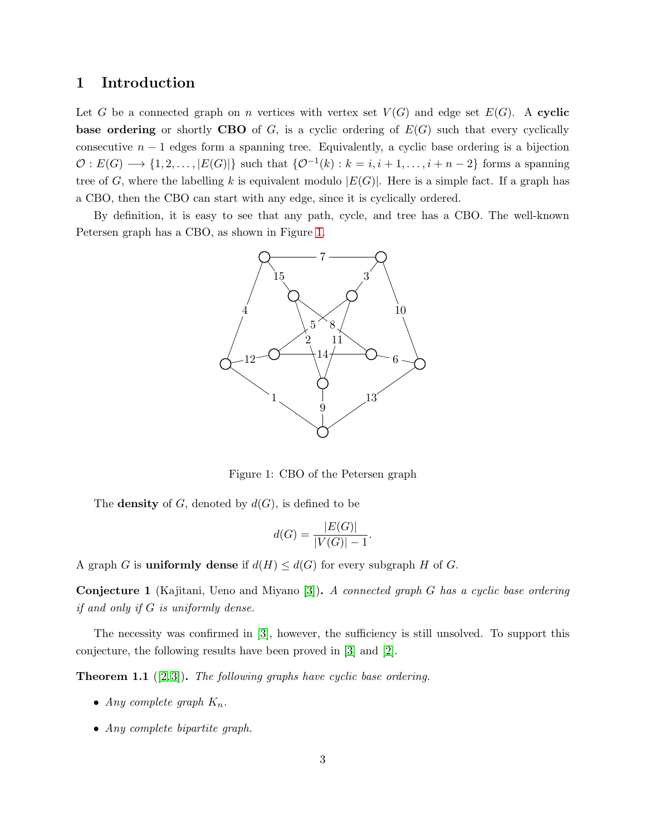# <span id="page-2-0"></span>1 Introduction

Let G be a connected graph on n vertices with vertex set  $V(G)$  and edge set  $E(G)$ . A cyclic base ordering or shortly CBO of  $G$ , is a cyclic ordering of  $E(G)$  such that every cyclically consecutive  $n - 1$  edges form a spanning tree. Equivalently, a cyclic base ordering is a bijection  $\mathcal{O}: E(G) \longrightarrow \{1, 2, \ldots, |E(G)|\}$  such that  $\{\mathcal{O}^{-1}(k) : k = i, i + 1, \ldots, i + n - 2\}$  forms a spanning tree of G, where the labelling k is equivalent modulo  $|E(G)|$ . Here is a simple fact. If a graph has a CBO, then the CBO can start with any edge, since it is cyclically ordered.

By definition, it is easy to see that any path, cycle, and tree has a CBO. The well-known Petersen graph has a CBO, as shown in Figure [1.](#page-2-1)



Figure 1: CBO of the Petersen graph

The **density** of G, denoted by  $d(G)$ , is defined to be

<span id="page-2-1"></span>
$$
d(G) = \frac{|E(G)|}{|V(G)| - 1}.
$$

A graph G is **uniformly dense** if  $d(H) \leq d(G)$  for every subgraph H of G.

Conjecture 1 (Kajitani, Ueno and Miyano [\[3\]](#page-23-0)). A connected graph G has a cyclic base ordering if and only if G is uniformly dense.

The necessity was confirmed in [\[3\]](#page-23-0), however, the sufficiency is still unsolved. To support this conjecture, the following results have been proved in [\[3\]](#page-23-0) and [\[2\]](#page-23-1).

<span id="page-2-2"></span>**Theorem 1.1** ([\[2,](#page-23-1)3]). The following graphs have cyclic base ordering.

- Any complete graph  $K_n$ .
- Any complete bipartite graph.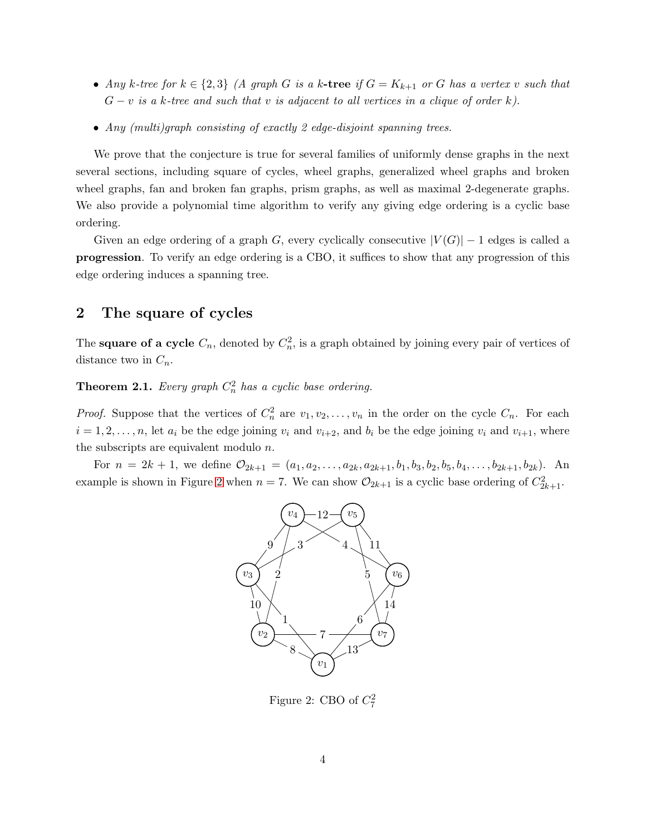- Any k-tree for  $k \in \{2,3\}$  (A graph G is a k-tree if  $G = K_{k+1}$  or G has a vertex v such that  $G - v$  is a k-tree and such that v is adjacent to all vertices in a clique of order k).
- Any (multi)graph consisting of exactly 2 edge-disjoint spanning trees.

We prove that the conjecture is true for several families of uniformly dense graphs in the next several sections, including square of cycles, wheel graphs, generalized wheel graphs and broken wheel graphs, fan and broken fan graphs, prism graphs, as well as maximal 2-degenerate graphs. We also provide a polynomial time algorithm to verify any giving edge ordering is a cyclic base ordering.

Given an edge ordering of a graph G, every cyclically consecutive  $|V(G)| - 1$  edges is called a progression. To verify an edge ordering is a CBO, it suffices to show that any progression of this edge ordering induces a spanning tree.

## <span id="page-3-0"></span>2 The square of cycles

The **square of a cycle**  $C_n$ , denoted by  $C_n^2$ , is a graph obtained by joining every pair of vertices of distance two in  $C_n$ .

**Theorem 2.1.** Every graph  $C_n^2$  has a cyclic base ordering.

*Proof.* Suppose that the vertices of  $C_n^2$  are  $v_1, v_2, \ldots, v_n$  in the order on the cycle  $C_n$ . For each  $i = 1, 2, \ldots, n$ , let  $a_i$  be the edge joining  $v_i$  and  $v_{i+2}$ , and  $b_i$  be the edge joining  $v_i$  and  $v_{i+1}$ , where the subscripts are equivalent modulo n.

For  $n = 2k + 1$ , we define  $\mathcal{O}_{2k+1} = (a_1, a_2, \ldots, a_{2k}, a_{2k+1}, b_1, b_3, b_2, b_5, b_4, \ldots, b_{2k+1}, b_{2k})$ . An example is shown in Figure [2](#page-3-1) when  $n = 7$ . We can show  $\mathcal{O}_{2k+1}$  is a cyclic base ordering of  $C_{2k+1}^2$ .



<span id="page-3-1"></span>Figure 2: CBO of  $C_7^2$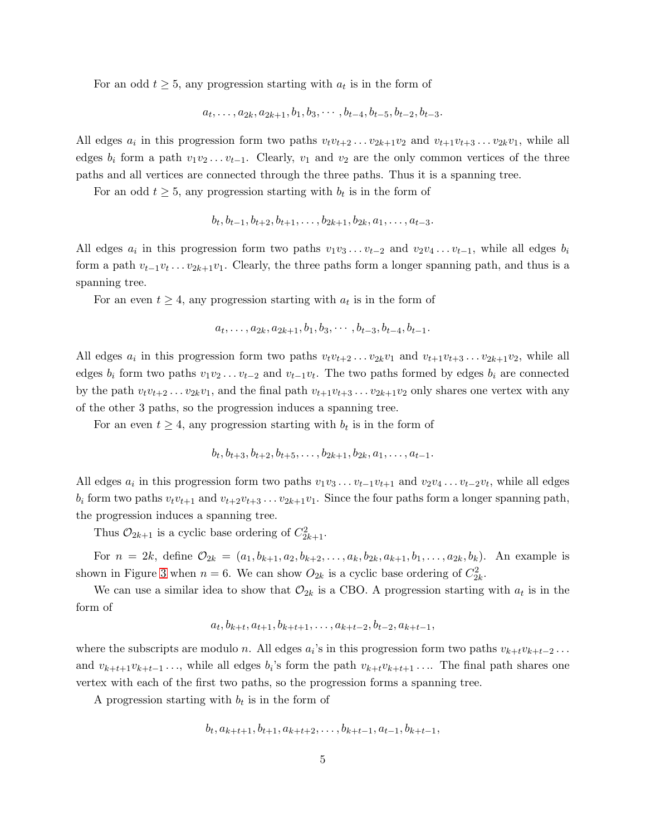For an odd  $t \geq 5$ , any progression starting with  $a_t$  is in the form of

$$
a_t, \ldots, a_{2k}, a_{2k+1}, b_1, b_3, \ldots, b_{t-4}, b_{t-5}, b_{t-2}, b_{t-3}.
$$

All edges  $a_i$  in this progression form two paths  $v_t v_{t+2} \ldots v_{2k+1} v_2$  and  $v_{t+1} v_{t+3} \ldots v_{2k} v_1$ , while all edges  $b_i$  form a path  $v_1v_2 \ldots v_{t-1}$ . Clearly,  $v_1$  and  $v_2$  are the only common vertices of the three paths and all vertices are connected through the three paths. Thus it is a spanning tree.

For an odd  $t \geq 5$ , any progression starting with  $b_t$  is in the form of

$$
b_t, b_{t-1}, b_{t+2}, b_{t+1}, \ldots, b_{2k+1}, b_{2k}, a_1, \ldots, a_{t-3}.
$$

All edges  $a_i$  in this progression form two paths  $v_1v_3 \ldots v_{t-2}$  and  $v_2v_4 \ldots v_{t-1}$ , while all edges  $b_i$ form a path  $v_{t-1}v_t \ldots v_{2k+1}v_1$ . Clearly, the three paths form a longer spanning path, and thus is a spanning tree.

For an even  $t \geq 4$ , any progression starting with  $a_t$  is in the form of

$$
a_t, \ldots, a_{2k}, a_{2k+1}, b_1, b_3, \cdots, b_{t-3}, b_{t-4}, b_{t-1}.
$$

All edges  $a_i$  in this progression form two paths  $v_tv_{t+2} \ldots v_{2k}v_1$  and  $v_{t+1}v_{t+3} \ldots v_{2k+1}v_2$ , while all edges  $b_i$  form two paths  $v_1v_2 \ldots v_{t-2}$  and  $v_{t-1}v_t$ . The two paths formed by edges  $b_i$  are connected by the path  $v_t v_{t+2} \ldots v_{2k} v_1$ , and the final path  $v_{t+1}v_{t+3} \ldots v_{2k+1}v_2$  only shares one vertex with any of the other 3 paths, so the progression induces a spanning tree.

For an even  $t \geq 4$ , any progression starting with  $b_t$  is in the form of

$$
b_t, b_{t+3}, b_{t+2}, b_{t+5}, \ldots, b_{2k+1}, b_{2k}, a_1, \ldots, a_{t-1}.
$$

All edges  $a_i$  in this progression form two paths  $v_1v_3 \ldots v_{t-1}v_{t+1}$  and  $v_2v_4 \ldots v_{t-2}v_t$ , while all edges  $b_i$  form two paths  $v_t v_{t+1}$  and  $v_{t+2}v_{t+3}\ldots v_{2k+1}v_1$ . Since the four paths form a longer spanning path, the progression induces a spanning tree.

Thus  $\mathcal{O}_{2k+1}$  is a cyclic base ordering of  $C_{2k+1}^2$ .

For  $n = 2k$ , define  $\mathcal{O}_{2k} = (a_1, b_{k+1}, a_2, b_{k+2}, \ldots, a_k, b_{2k}, a_{k+1}, b_1, \ldots, a_{2k}, b_k)$ . An example is shown in Figure [3](#page-5-2) when  $n = 6$ . We can show  $O_{2k}$  is a cyclic base ordering of  $C_{2k}^2$ .

We can use a similar idea to show that  $\mathcal{O}_{2k}$  is a CBO. A progression starting with  $a_t$  is in the form of

$$
a_t, b_{k+t}, a_{t+1}, b_{k+t+1}, \ldots, a_{k+t-2}, b_{t-2}, a_{k+t-1},
$$

where the subscripts are modulo n. All edges  $a_i$ 's in this progression form two paths  $v_{k+t}v_{k+t-2} \ldots$ and  $v_{k+t+1}v_{k+t-1} \ldots$ , while all edges  $b_i$ 's form the path  $v_{k+t}v_{k+t+1} \ldots$ . The final path shares one vertex with each of the first two paths, so the progression forms a spanning tree.

A progression starting with  $b_t$  is in the form of

$$
b_t, a_{k+t+1}, b_{t+1}, a_{k+t+2}, \ldots, b_{k+t-1}, a_{t-1}, b_{k+t-1},
$$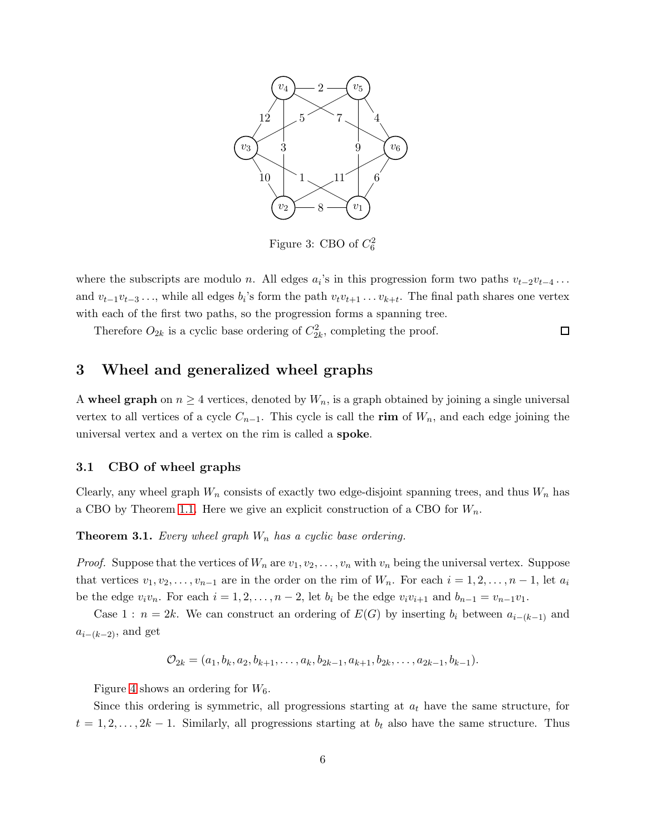

<span id="page-5-2"></span>Figure 3: CBO of  $C_6^2$ 

where the subscripts are modulo *n*. All edges  $a_i$ 's in this progression form two paths  $v_{t-2}v_{t-4} \dots$ and  $v_{t-1}v_{t-3}\ldots$ , while all edges  $b_i$ 's form the path  $v_tv_{t+1}\ldots v_{k+t}$ . The final path shares one vertex with each of the first two paths, so the progression forms a spanning tree.

 $\Box$ 

Therefore  $O_{2k}$  is a cyclic base ordering of  $C_{2k}^2$ , completing the proof.

# <span id="page-5-0"></span>3 Wheel and generalized wheel graphs

A wheel graph on  $n \geq 4$  vertices, denoted by  $W_n$ , is a graph obtained by joining a single universal vertex to all vertices of a cycle  $C_{n-1}$ . This cycle is call the rim of  $W_n$ , and each edge joining the universal vertex and a vertex on the rim is called a spoke.

#### <span id="page-5-1"></span>3.1 CBO of wheel graphs

Clearly, any wheel graph  $W_n$  consists of exactly two edge-disjoint spanning trees, and thus  $W_n$  has a CBO by Theorem [1.1.](#page-2-2) Here we give an explicit construction of a CBO for  $W_n$ .

**Theorem 3.1.** Every wheel graph  $W_n$  has a cyclic base ordering.

*Proof.* Suppose that the vertices of  $W_n$  are  $v_1, v_2, \ldots, v_n$  with  $v_n$  being the universal vertex. Suppose that vertices  $v_1, v_2, \ldots, v_{n-1}$  are in the order on the rim of  $W_n$ . For each  $i = 1, 2, \ldots, n-1$ , let  $a_i$ be the edge  $v_i v_n$ . For each  $i = 1, 2, \ldots, n-2$ , let  $b_i$  be the edge  $v_i v_{i+1}$  and  $b_{n-1} = v_{n-1}v_1$ .

Case 1 :  $n = 2k$ . We can construct an ordering of  $E(G)$  by inserting  $b_i$  between  $a_{i-(k-1)}$  and  $a_{i-(k-2)}$ , and get

$$
\mathcal{O}_{2k} = (a_1, b_k, a_2, b_{k+1}, \dots, a_k, b_{2k-1}, a_{k+1}, b_{2k}, \dots, a_{2k-1}, b_{k-1}).
$$

Figure [4](#page-6-0) shows an ordering for  $W_6$ .

Since this ordering is symmetric, all progressions starting at  $a_t$  have the same structure, for  $t = 1, 2, \ldots, 2k - 1$ . Similarly, all progressions starting at  $b_t$  also have the same structure. Thus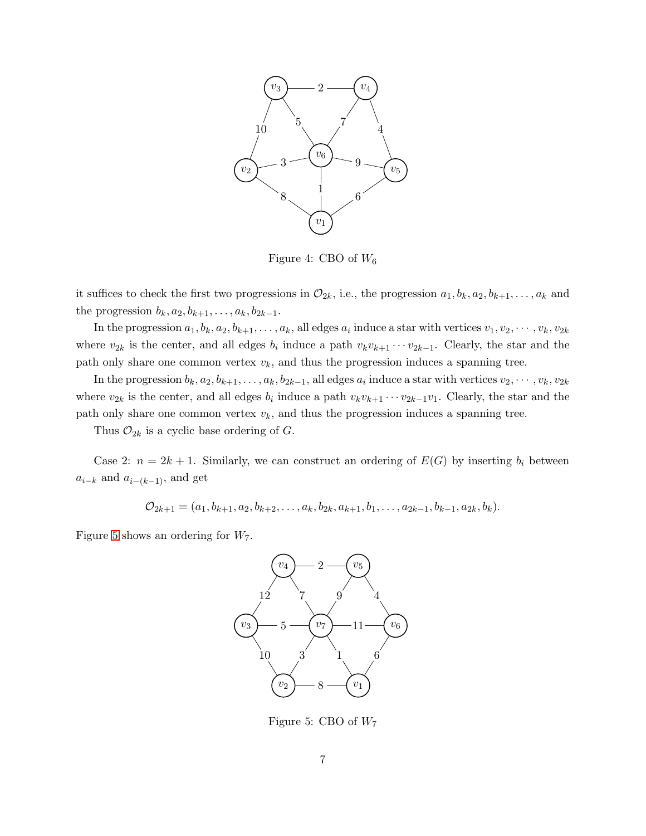

<span id="page-6-0"></span>Figure 4: CBO of  $W_6$ 

it suffices to check the first two progressions in  $\mathcal{O}_{2k}$ , i.e., the progression  $a_1, b_k, a_2, b_{k+1}, \ldots, a_k$  and the progression  $b_k, a_2, b_{k+1}, \ldots, a_k, b_{2k-1}.$ 

In the progression  $a_1, b_k, a_2, b_{k+1}, \ldots, a_k$ , all edges  $a_i$  induce a star with vertices  $v_1, v_2, \cdots, v_k, v_{2k}$ where  $v_{2k}$  is the center, and all edges  $b_i$  induce a path  $v_kv_{k+1} \cdots v_{2k-1}$ . Clearly, the star and the path only share one common vertex  $v_k$ , and thus the progression induces a spanning tree.

In the progression  $b_k, a_2, b_{k+1}, \ldots, a_k, b_{2k-1}$ , all edges  $a_i$  induce a star with vertices  $v_2, \cdots, v_k, v_{2k}$ where  $v_{2k}$  is the center, and all edges  $b_i$  induce a path  $v_kv_{k+1} \cdots v_{2k-1}v_1$ . Clearly, the star and the path only share one common vertex  $v_k$ , and thus the progression induces a spanning tree.

Thus  $\mathcal{O}_{2k}$  is a cyclic base ordering of G.

Case 2:  $n = 2k + 1$ . Similarly, we can construct an ordering of  $E(G)$  by inserting  $b_i$  between  $a_{i-k}$  and  $a_{i-(k-1)}$ , and get

$$
\mathcal{O}_{2k+1} = (a_1, b_{k+1}, a_2, b_{k+2}, \dots, a_k, b_{2k}, a_{k+1}, b_1, \dots, a_{2k-1}, b_{k-1}, a_{2k}, b_k).
$$

Figure [5](#page-6-1) shows an ordering for  $W_7$ .



<span id="page-6-1"></span>Figure 5: CBO of  $W_7$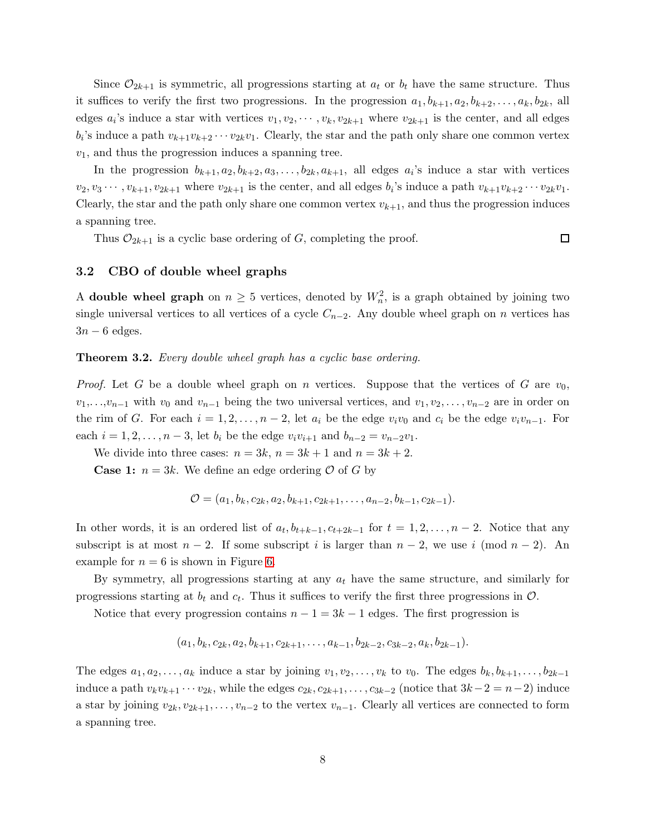Since  $\mathcal{O}_{2k+1}$  is symmetric, all progressions starting at  $a_t$  or  $b_t$  have the same structure. Thus it suffices to verify the first two progressions. In the progression  $a_1, b_{k+1}, a_2, b_{k+2}, \ldots, a_k, b_{2k}$ , all edges  $a_i$ 's induce a star with vertices  $v_1, v_2, \dots, v_k, v_{2k+1}$  where  $v_{2k+1}$  is the center, and all edges  $b_i$ 's induce a path  $v_{k+1}v_{k+2}\cdots v_{2k}v_1$ . Clearly, the star and the path only share one common vertex  $v_1$ , and thus the progression induces a spanning tree.

In the progression  $b_{k+1}, a_2, b_{k+2}, a_3, \ldots, b_{2k}, a_{k+1}$ , all edges  $a_i$ 's induce a star with vertices  $v_2, v_3 \cdots, v_{k+1}, v_{2k+1}$  where  $v_{2k+1}$  is the center, and all edges  $b_i$ 's induce a path  $v_{k+1}v_{k+2} \cdots v_{2k}v_1$ . Clearly, the star and the path only share one common vertex  $v_{k+1}$ , and thus the progression induces a spanning tree.

Thus  $\mathcal{O}_{2k+1}$  is a cyclic base ordering of G, completing the proof.

 $\Box$ 

### <span id="page-7-0"></span>3.2 CBO of double wheel graphs

A double wheel graph on  $n \geq 5$  vertices, denoted by  $W_n^2$ , is a graph obtained by joining two single universal vertices to all vertices of a cycle  $C_{n-2}$ . Any double wheel graph on n vertices has  $3n - 6$  edges.

#### Theorem 3.2. Every double wheel graph has a cyclic base ordering.

*Proof.* Let G be a double wheel graph on n vertices. Suppose that the vertices of G are  $v_0$ ,  $v_1, \ldots, v_{n-1}$  with  $v_0$  and  $v_{n-1}$  being the two universal vertices, and  $v_1, v_2, \ldots, v_{n-2}$  are in order on the rim of G. For each  $i = 1, 2, \ldots, n-2$ , let  $a_i$  be the edge  $v_i v_0$  and  $c_i$  be the edge  $v_i v_{n-1}$ . For each  $i = 1, 2, \ldots, n-3$ , let  $b_i$  be the edge  $v_i v_{i+1}$  and  $b_{n-2} = v_{n-2}v_1$ .

We divide into three cases:  $n = 3k$ ,  $n = 3k + 1$  and  $n = 3k + 2$ .

**Case 1:**  $n = 3k$ . We define an edge ordering  $\mathcal{O}$  of G by

$$
\mathcal{O}=(a_1,b_k,c_{2k},a_2,b_{k+1},c_{2k+1},\ldots,a_{n-2},b_{k-1},c_{2k-1}).
$$

In other words, it is an ordered list of  $a_t, b_{t+k-1}, c_{t+2k-1}$  for  $t = 1, 2, ..., n-2$ . Notice that any subscript is at most  $n-2$ . If some subscript i is larger than  $n-2$ , we use i (mod  $n-2$ ). An example for  $n = 6$  is shown in Figure [6.](#page-8-0)

By symmetry, all progressions starting at any  $a_t$  have the same structure, and similarly for progressions starting at  $b_t$  and  $c_t$ . Thus it suffices to verify the first three progressions in  $\mathcal{O}$ .

Notice that every progression contains  $n - 1 = 3k - 1$  edges. The first progression is

$$
(a_1, b_k, c_{2k}, a_2, b_{k+1}, c_{2k+1}, \ldots, a_{k-1}, b_{2k-2}, c_{3k-2}, a_k, b_{2k-1}).
$$

The edges  $a_1, a_2, \ldots, a_k$  induce a star by joining  $v_1, v_2, \ldots, v_k$  to  $v_0$ . The edges  $b_k, b_{k+1}, \ldots, b_{2k-1}$ induce a path  $v_kv_{k+1} \cdots v_{2k}$ , while the edges  $c_{2k}, c_{2k+1}, \ldots, c_{3k-2}$  (notice that  $3k-2 = n-2$ ) induce a star by joining  $v_{2k}, v_{2k+1}, \ldots, v_{n-2}$  to the vertex  $v_{n-1}$ . Clearly all vertices are connected to form a spanning tree.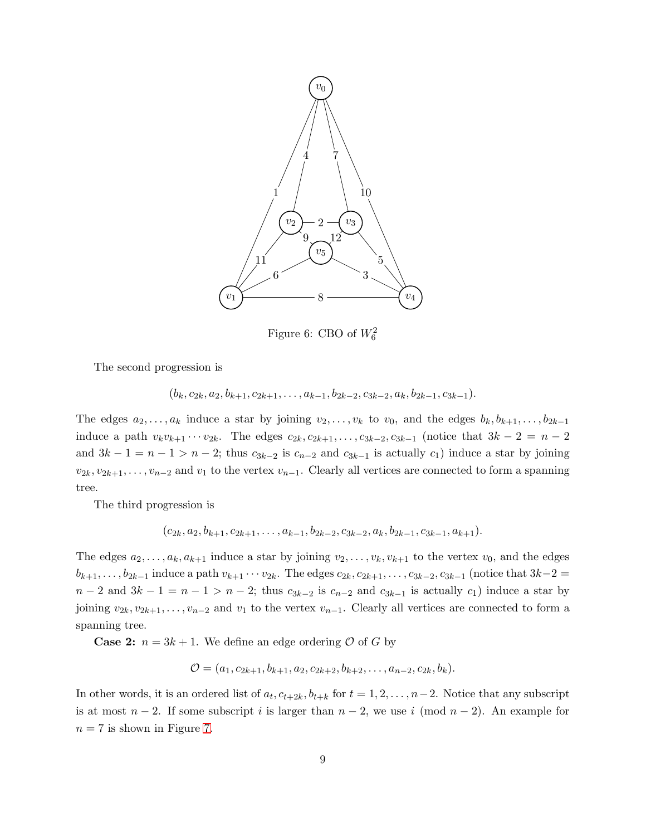

<span id="page-8-0"></span>Figure 6: CBO of  $W_6^2$ 

The second progression is

$$
(b_k, c_{2k}, a_2, b_{k+1}, c_{2k+1}, \ldots, a_{k-1}, b_{2k-2}, c_{3k-2}, a_k, b_{2k-1}, c_{3k-1}).
$$

The edges  $a_2, \ldots, a_k$  induce a star by joining  $v_2, \ldots, v_k$  to  $v_0$ , and the edges  $b_k, b_{k+1}, \ldots, b_{2k-1}$ induce a path  $v_kv_{k+1}\cdots v_{2k}$ . The edges  $c_{2k}, c_{2k+1}, \ldots, c_{3k-2}, c_{3k-1}$  (notice that  $3k-2=n-2$ and  $3k - 1 = n - 1 > n - 2$ ; thus  $c_{3k-2}$  is  $c_{n-2}$  and  $c_{3k-1}$  is actually  $c_1$ ) induce a star by joining  $v_{2k}, v_{2k+1}, \ldots, v_{n-2}$  and  $v_1$  to the vertex  $v_{n-1}$ . Clearly all vertices are connected to form a spanning tree.

The third progression is

$$
(c_{2k}, a_2, b_{k+1}, c_{2k+1}, \ldots, a_{k-1}, b_{2k-2}, c_{3k-2}, a_k, b_{2k-1}, c_{3k-1}, a_{k+1}).
$$

The edges  $a_2, \ldots, a_k, a_{k+1}$  induce a star by joining  $v_2, \ldots, v_k, v_{k+1}$  to the vertex  $v_0$ , and the edges  $b_{k+1}, \ldots, b_{2k-1}$  induce a path  $v_{k+1} \cdots v_{2k}$ . The edges  $c_{2k}, c_{2k+1}, \ldots, c_{3k-2}, c_{3k-1}$  (notice that  $3k-2=$  $n-2$  and  $3k-1=n-1>n-2$ ; thus  $c_{3k-2}$  is  $c_{n-2}$  and  $c_{3k-1}$  is actually  $c_1$ ) induce a star by joining  $v_{2k}, v_{2k+1}, \ldots, v_{n-2}$  and  $v_1$  to the vertex  $v_{n-1}$ . Clearly all vertices are connected to form a spanning tree.

**Case 2:**  $n = 3k + 1$ . We define an edge ordering  $\mathcal{O}$  of G by

$$
\mathcal{O} = (a_1, c_{2k+1}, b_{k+1}, a_2, c_{2k+2}, b_{k+2}, \dots, a_{n-2}, c_{2k}, b_k).
$$

In other words, it is an ordered list of  $a_t, c_{t+2k}, b_{t+k}$  for  $t = 1, 2, \ldots, n-2$ . Notice that any subscript is at most  $n-2$ . If some subscript i is larger than  $n-2$ , we use i (mod  $n-2$ ). An example for  $n = 7$  is shown in Figure [7.](#page-9-0)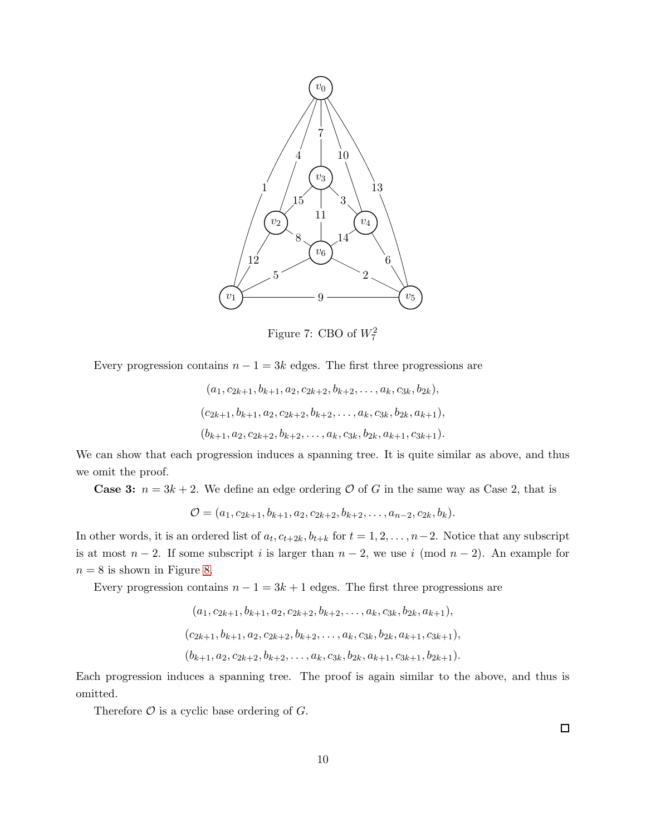

<span id="page-9-0"></span>Figure 7: CBO of  $W_7^2$ 

Every progression contains  $n - 1 = 3k$  edges. The first three progressions are

$$
(a_1, c_{2k+1}, b_{k+1}, a_2, c_{2k+2}, b_{k+2}, \dots, a_k, c_{3k}, b_{2k}),
$$
  

$$
(c_{2k+1}, b_{k+1}, a_2, c_{2k+2}, b_{k+2}, \dots, a_k, c_{3k}, b_{2k}, a_{k+1}),
$$
  

$$
(b_{k+1}, a_2, c_{2k+2}, b_{k+2}, \dots, a_k, c_{3k}, b_{2k}, a_{k+1}, c_{3k+1}).
$$

We can show that each progression induces a spanning tree. It is quite similar as above, and thus we omit the proof.

**Case 3:**  $n = 3k + 2$ . We define an edge ordering O of G in the same way as Case 2, that is

$$
\mathcal{O} = (a_1, c_{2k+1}, b_{k+1}, a_2, c_{2k+2}, b_{k+2}, \dots, a_{n-2}, c_{2k}, b_k).
$$

In other words, it is an ordered list of  $a_t, c_{t+2k}, b_{t+k}$  for  $t = 1, 2, \ldots, n-2$ . Notice that any subscript is at most  $n-2$ . If some subscript i is larger than  $n-2$ , we use i (mod  $n-2$ ). An example for  $n = 8$  is shown in Figure [8.](#page-10-1)

Every progression contains  $n - 1 = 3k + 1$  edges. The first three progressions are

$$
(a_1, c_{2k+1}, b_{k+1}, a_2, c_{2k+2}, b_{k+2}, \dots, a_k, c_{3k}, b_{2k}, a_{k+1}),
$$
  

$$
(c_{2k+1}, b_{k+1}, a_2, c_{2k+2}, b_{k+2}, \dots, a_k, c_{3k}, b_{2k}, a_{k+1}, c_{3k+1}),
$$
  

$$
(b_{k+1}, a_2, c_{2k+2}, b_{k+2}, \dots, a_k, c_{3k}, b_{2k}, a_{k+1}, c_{3k+1}, b_{2k+1}).
$$

Each progression induces a spanning tree. The proof is again similar to the above, and thus is omitted.

Therefore  $\mathcal O$  is a cyclic base ordering of  $G$ .

 $\Box$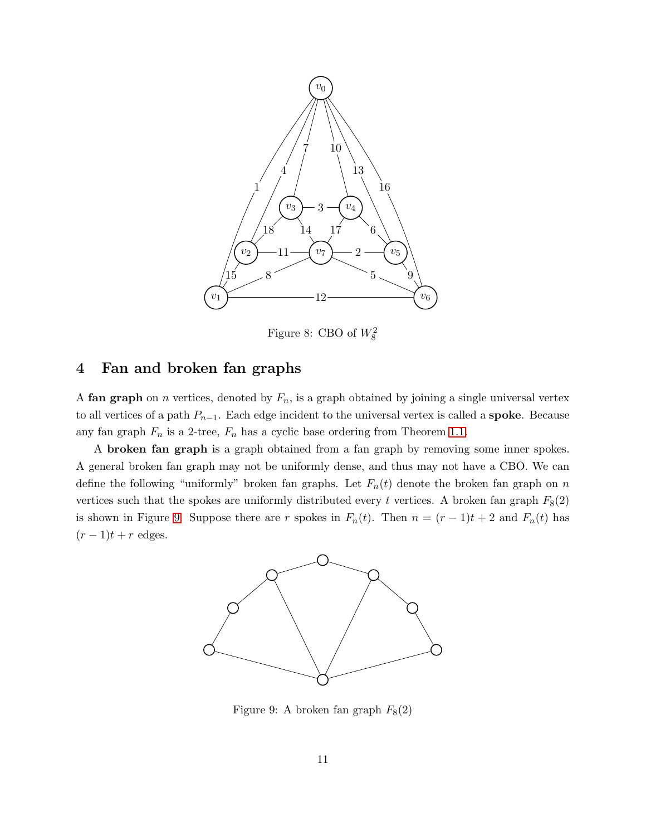

<span id="page-10-1"></span>Figure 8: CBO of  $W_8^2$ 

# <span id="page-10-0"></span>4 Fan and broken fan graphs

A fan graph on n vertices, denoted by  $F_n$ , is a graph obtained by joining a single universal vertex to all vertices of a path  $P_{n-1}$ . Each edge incident to the universal vertex is called a **spoke**. Because any fan graph  $F_n$  is a 2-tree,  $F_n$  has a cyclic base ordering from Theorem [1.1.](#page-2-2)

A broken fan graph is a graph obtained from a fan graph by removing some inner spokes. A general broken fan graph may not be uniformly dense, and thus may not have a CBO. We can define the following "uniformly" broken fan graphs. Let  $F_n(t)$  denote the broken fan graph on n vertices such that the spokes are uniformly distributed every t vertices. A broken fan graph  $F_8(2)$ is shown in Figure [9.](#page-10-2) Suppose there are r spokes in  $F_n(t)$ . Then  $n = (r-1)t + 2$  and  $F_n(t)$  has  $(r-1)t + r$  edges.



<span id="page-10-2"></span>Figure 9: A broken fan graph  $F_8(2)$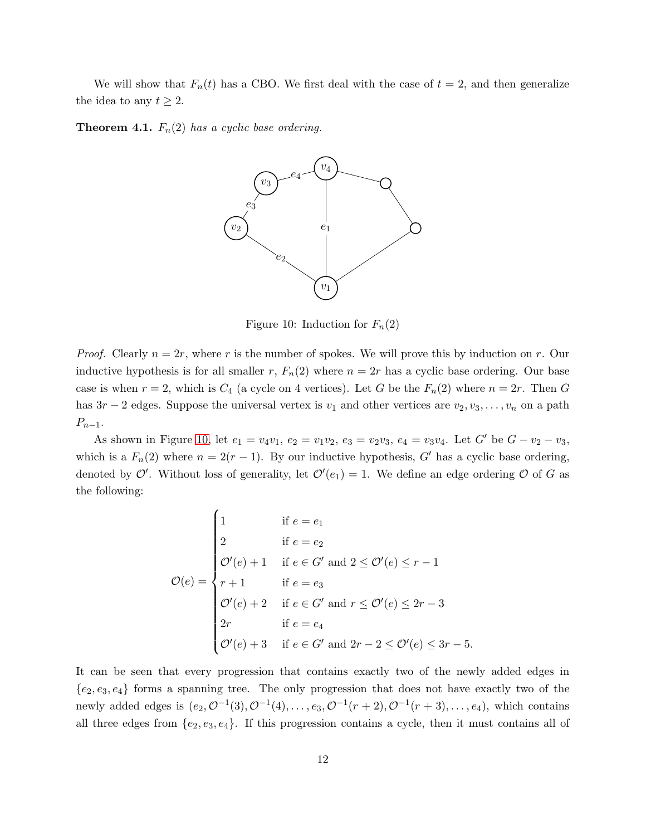We will show that  $F_n(t)$  has a CBO. We first deal with the case of  $t = 2$ , and then generalize the idea to any  $t \geq 2$ .

<span id="page-11-1"></span>**Theorem 4.1.**  $F_n(2)$  has a cyclic base ordering.



<span id="page-11-0"></span>Figure 10: Induction for  $F_n(2)$ 

*Proof.* Clearly  $n = 2r$ , where r is the number of spokes. We will prove this by induction on r. Our inductive hypothesis is for all smaller r,  $F_n(2)$  where  $n = 2r$  has a cyclic base ordering. Our base case is when  $r = 2$ , which is  $C_4$  (a cycle on 4 vertices). Let G be the  $F_n(2)$  where  $n = 2r$ . Then G has  $3r-2$  edges. Suppose the universal vertex is  $v_1$  and other vertices are  $v_2, v_3, \ldots, v_n$  on a path  $P_{n-1}$ .

As shown in Figure [10,](#page-11-0) let  $e_1 = v_4v_1$ ,  $e_2 = v_1v_2$ ,  $e_3 = v_2v_3$ ,  $e_4 = v_3v_4$ . Let  $G'$  be  $G - v_2 - v_3$ , which is a  $F_n(2)$  where  $n = 2(r - 1)$ . By our inductive hypothesis, G' has a cyclic base ordering, denoted by  $\mathcal{O}'$ . Without loss of generality, let  $\mathcal{O}'(e_1) = 1$ . We define an edge ordering  $\mathcal O$  of G as the following:

$$
\mathcal{O}(e) = \begin{cases}\n1 & \text{if } e = e_1 \\
2 & \text{if } e = e_2 \\
\mathcal{O}'(e) + 1 & \text{if } e \in G' \text{ and } 2 \le \mathcal{O}'(e) \le r - 1 \\
r + 1 & \text{if } e = e_3 \\
\mathcal{O}'(e) + 2 & \text{if } e \in G' \text{ and } r \le \mathcal{O}'(e) \le 2r - 3 \\
2r & \text{if } e = e_4 \\
\mathcal{O}'(e) + 3 & \text{if } e \in G' \text{ and } 2r - 2 \le \mathcal{O}'(e) \le 3r - 5.\n\end{cases}
$$

It can be seen that every progression that contains exactly two of the newly added edges in  ${e_2, e_3, e_4}$  forms a spanning tree. The only progression that does not have exactly two of the newly added edges is  $(e_2, \mathcal{O}^{-1}(3), \mathcal{O}^{-1}(4), \ldots, e_3, \mathcal{O}^{-1}(r+2), \mathcal{O}^{-1}(r+3), \ldots, e_4)$ , which contains all three edges from  $\{e_2, e_3, e_4\}$ . If this progression contains a cycle, then it must contains all of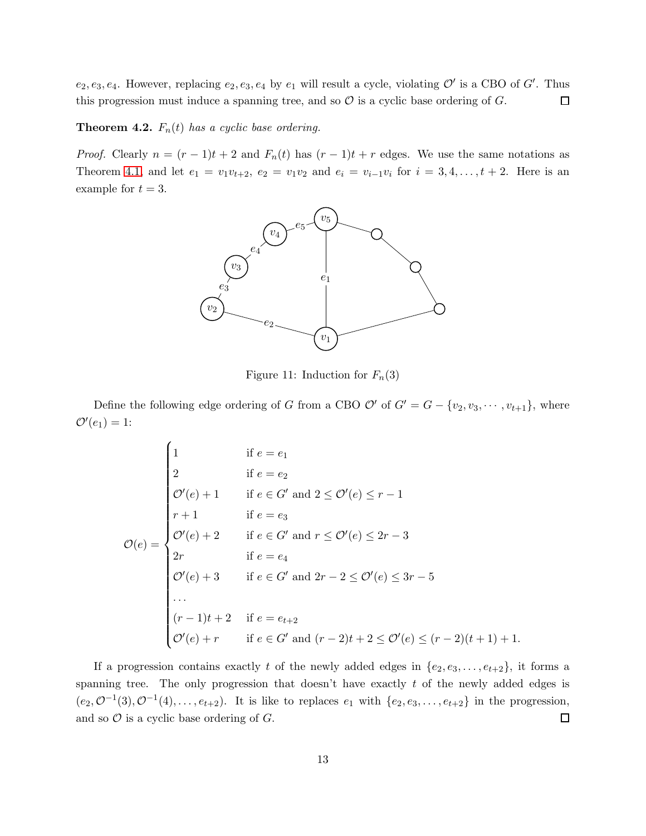$e_2, e_3, e_4$ . However, replacing  $e_2, e_3, e_4$  by  $e_1$  will result a cycle, violating  $\mathcal{O}'$  is a CBO of  $G'$ . Thus this progression must induce a spanning tree, and so  $\mathcal O$  is a cyclic base ordering of  $G$ .  $\Box$ 

<span id="page-12-0"></span>**Theorem 4.2.**  $F_n(t)$  has a cyclic base ordering.

*Proof.* Clearly  $n = (r - 1)t + 2$  and  $F_n(t)$  has  $(r - 1)t + r$  edges. We use the same notations as Theorem [4.1,](#page-11-1) and let  $e_1 = v_1v_{t+2}, e_2 = v_1v_2$  and  $e_i = v_{i-1}v_i$  for  $i = 3, 4, ..., t+2$ . Here is an example for  $t = 3$ .



Figure 11: Induction for  $F_n(3)$ 

Define the following edge ordering of G from a CBO  $\mathcal{O}'$  of  $G' = G - \{v_2, v_3, \cdots, v_{t+1}\}\,$ , where  ${\cal O}'(e_1)=1$ :

$$
\mathcal{O}(e) = \begin{cases}\n1 & \text{if } e = e_1 \\
2 & \text{if } e = e_2 \\
\mathcal{O}'(e) + 1 & \text{if } e \in G' \text{ and } 2 \le \mathcal{O}'(e) \le r - 1 \\
r + 1 & \text{if } e = e_3 \\
\mathcal{O}'(e) + 2 & \text{if } e \in G' \text{ and } r \le \mathcal{O}'(e) \le 2r - 3 \\
2r & \text{if } e = e_4 \\
\mathcal{O}'(e) + 3 & \text{if } e \in G' \text{ and } 2r - 2 \le \mathcal{O}'(e) \le 3r - 5 \\
\cdots & & & & & & & \\
(r - 1)t + 2 & \text{if } e = e_{t+2} \\
\mathcal{O}'(e) + r & \text{if } e \in G' \text{ and } (r - 2)t + 2 \le \mathcal{O}'(e) \le (r - 2)(t + 1) + 1.\n\end{cases}
$$

If a progression contains exactly t of the newly added edges in  $\{e_2, e_3, \ldots, e_{t+2}\}$ , it forms a spanning tree. The only progression that doesn't have exactly  $t$  of the newly added edges is  $(e_2, \mathcal{O}^{-1}(3), \mathcal{O}^{-1}(4), \ldots, e_{t+2})$ . It is like to replaces  $e_1$  with  $\{e_2, e_3, \ldots, e_{t+2}\}$  in the progression, and so  $\mathcal O$  is a cyclic base ordering of  $G$ .  $\Box$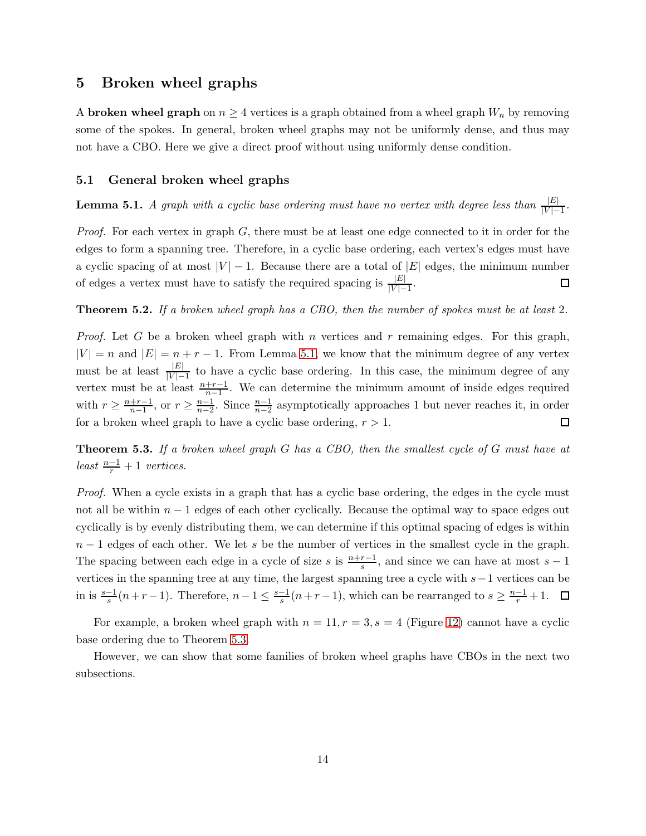## <span id="page-13-0"></span>5 Broken wheel graphs

A **broken wheel graph** on  $n \geq 4$  vertices is a graph obtained from a wheel graph  $W_n$  by removing some of the spokes. In general, broken wheel graphs may not be uniformly dense, and thus may not have a CBO. Here we give a direct proof without using uniformly dense condition.

#### <span id="page-13-1"></span>5.1 General broken wheel graphs

<span id="page-13-2"></span>**Lemma 5.1.** A graph with a cyclic base ordering must have no vertex with degree less than  $\frac{|E|}{|V|-1}$ .

*Proof.* For each vertex in graph  $G$ , there must be at least one edge connected to it in order for the edges to form a spanning tree. Therefore, in a cyclic base ordering, each vertex's edges must have a cyclic spacing of at most  $|V| - 1$ . Because there are a total of  $|E|$  edges, the minimum number of edges a vertex must have to satisfy the required spacing is  $\frac{|E|}{|V|-1}$ .  $\Box$ 

#### Theorem 5.2. If a broken wheel graph has a CBO, then the number of spokes must be at least 2.

*Proof.* Let G be a broken wheel graph with n vertices and r remaining edges. For this graph,  $|V| = n$  and  $|E| = n + r - 1$ . From Lemma [5.1,](#page-13-2) we know that the minimum degree of any vertex must be at least  $\frac{|E|}{|V|-1}$  to have a cyclic base ordering. In this case, the minimum degree of any vertex must be at least  $\frac{n+r-1}{n-1}$ . We can determine the minimum amount of inside edges required with  $r \geq \frac{n+r-1}{n-1}$  $\frac{+r-1}{n-1}$ , or  $r \geq \frac{n-1}{n-2}$  $\frac{n-1}{n-2}$ . Since  $\frac{n-1}{n-2}$  asymptotically approaches 1 but never reaches it, in order for a broken wheel graph to have a cyclic base ordering,  $r > 1$ .  $\Box$ 

<span id="page-13-3"></span>Theorem 5.3. If a broken wheel graph G has a CBO, then the smallest cycle of G must have at least  $\frac{n-1}{r}+1$  vertices.

Proof. When a cycle exists in a graph that has a cyclic base ordering, the edges in the cycle must not all be within  $n - 1$  edges of each other cyclically. Because the optimal way to space edges out cyclically is by evenly distributing them, we can determine if this optimal spacing of edges is within  $n-1$  edges of each other. We let s be the number of vertices in the smallest cycle in the graph. The spacing between each edge in a cycle of size s is  $\frac{n+r-1}{s}$ , and since we can have at most s – 1 vertices in the spanning tree at any time, the largest spanning tree a cycle with s−1 vertices can be in is  $\frac{s-1}{s}(n+r-1)$ . Therefore,  $n-1 \leq \frac{s-1}{s}(n+r-1)$ , which can be rearranged to  $s \geq \frac{n-1}{r}+1$ .

For example, a broken wheel graph with  $n = 11, r = 3, s = 4$  (Figure [12\)](#page-14-1) cannot have a cyclic base ordering due to Theorem [5.3.](#page-13-3)

However, we can show that some families of broken wheel graphs have CBOs in the next two subsections.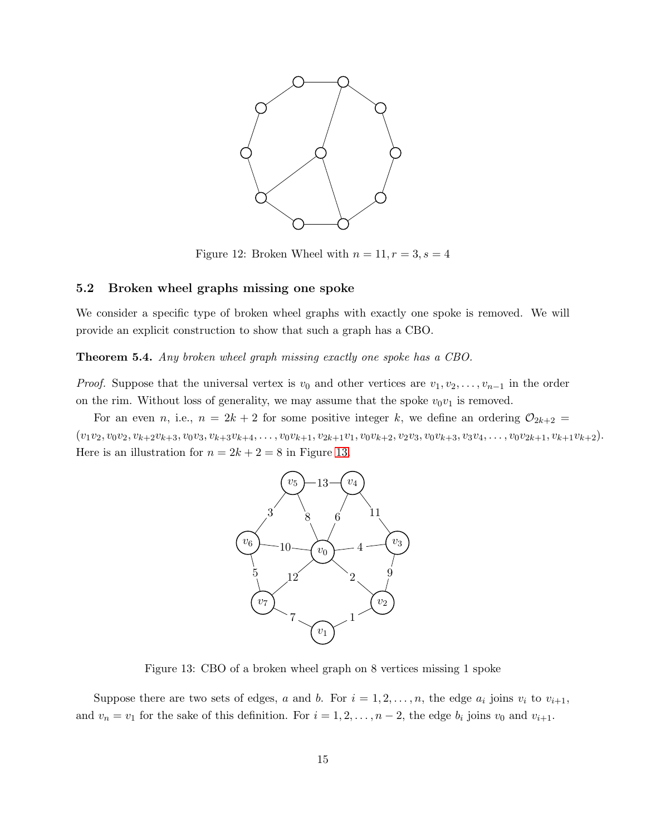

<span id="page-14-1"></span>Figure 12: Broken Wheel with  $n = 11, r = 3, s = 4$ 

#### <span id="page-14-0"></span>5.2 Broken wheel graphs missing one spoke

We consider a specific type of broken wheel graphs with exactly one spoke is removed. We will provide an explicit construction to show that such a graph has a CBO.

Theorem 5.4. Any broken wheel graph missing exactly one spoke has a CBO.

*Proof.* Suppose that the universal vertex is  $v_0$  and other vertices are  $v_1, v_2, \ldots, v_{n-1}$  in the order on the rim. Without loss of generality, we may assume that the spoke  $v_0v_1$  is removed.

For an even n, i.e.,  $n = 2k + 2$  for some positive integer k, we define an ordering  $\mathcal{O}_{2k+2}$  $(v_1v_2, v_0v_2, v_{k+2}v_{k+3}, v_0v_3, v_{k+3}v_{k+4}, \ldots, v_0v_{k+1}, v_{2k+1}v_1, v_0v_{k+2}, v_2v_3, v_0v_{k+3}, v_3v_4, \ldots, v_0v_{2k+1}, v_{k+1}v_{k+2}).$ Here is an illustration for  $n = 2k + 2 = 8$  in Figure [13.](#page-14-2)



<span id="page-14-2"></span>Figure 13: CBO of a broken wheel graph on 8 vertices missing 1 spoke

Suppose there are two sets of edges, a and b. For  $i = 1, 2, ..., n$ , the edge  $a_i$  joins  $v_i$  to  $v_{i+1}$ , and  $v_n = v_1$  for the sake of this definition. For  $i = 1, 2, ..., n-2$ , the edge  $b_i$  joins  $v_0$  and  $v_{i+1}$ .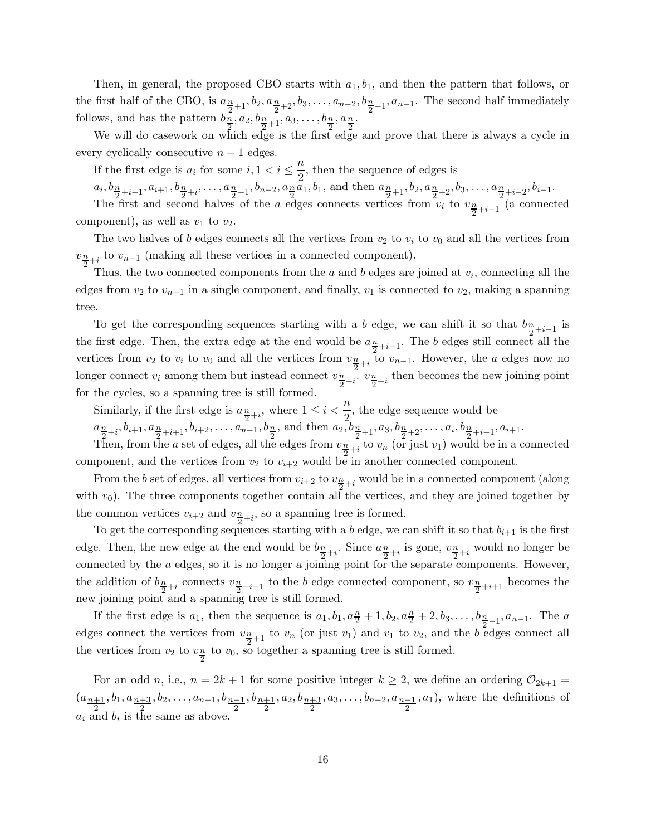Then, in general, the proposed CBO starts with  $a_1, b_1$ , and then the pattern that follows, or the first half of the CBO, is  $a_{\frac{n}{2}+1}$ ,  $b_2$ ,  $a_{\frac{n}{2}+2}$ ,  $b_3$ , ...,  $a_{n-2}$ ,  $b_{\frac{n}{2}-1}$ ,  $a_{n-1}$ . The second half immediately follows, and has the pattern  $b_n, a_2, b_{\frac{n}{2}+1}, a_3, \ldots, b_{\frac{n}{2}}, a_{\frac{n}{2}}$ .

We will do casework on which edge is the first edge and prove that there is always a cycle in every cyclically consecutive  $n-1$  edges.

If the first edge is  $a_i$  for some  $i, 1 < i \leq \frac{n}{2}$  $\frac{\pi}{2}$ , then the sequence of edges is

 $a_i, b_{\frac{n}{2}+i-1}, a_{i+1}, b_{\frac{n}{2}+i}, \ldots, a_{\frac{n}{2}-1}, b_{n-2}, a_{\frac{n}{2}}a_1, b_1$ , and then  $a_{\frac{n}{2}+1}, b_2, a_{\frac{n}{2}+2}, b_3, \ldots, a_{\frac{n}{2}+i-2}, b_{i-1}$ . The first and second halves of the a edges connects vertices from  $v_i$  to  $v_{\frac{n}{2}+i-1}$  (a connected component), as well as  $v_1$  to  $v_2$ .

The two halves of b edges connects all the vertices from  $v_2$  to  $v_i$  to  $v_0$  and all the vertices from  $v_{\frac{n}{2}+i}$  to  $v_{n-1}$  (making all these vertices in a connected component).

Thus, the two connected components from the  $a$  and  $b$  edges are joined at  $v_i$ , connecting all the edges from  $v_2$  to  $v_{n-1}$  in a single component, and finally,  $v_1$  is connected to  $v_2$ , making a spanning tree.

To get the corresponding sequences starting with a b edge, we can shift it so that  $b_{\frac{n}{2}+i-1}$  is the first edge. Then, the extra edge at the end would be  $a_{\frac{n}{2}+i-1}$ . The b edges still connect all the vertices from  $v_2$  to  $v_i$  to  $v_0$  and all the vertices from  $v_{\frac{n}{2}+i}$  to  $v_{n-1}$ . However, the a edges now no longer connect  $v_i$  among them but instead connect  $v_{\frac{n}{2}+i}$ .  $v_{\frac{n}{2}+i}$  then becomes the new joining point for the cycles, so a spanning tree is still formed.

Similarly, if the first edge is  $a_{\frac{n}{2}+i}$ , where  $1 \leq i < \frac{n}{2}$  $\frac{\pi}{2}$ , the edge sequence would be

 $a_{\frac{n}{2}+i}, b_{i+1}, a_{\frac{n}{2}+i+1}, b_{i+2}, \ldots, a_{n-1}, b_{\frac{n}{2}},$  and then  $a_2, b_{\frac{n}{2}+1}, a_3, b_{\frac{n}{2}+2}, \ldots, a_i, b_{\frac{n}{2}+i-1}, a_{i+1}.$ 

Then, from the a set of edges, all the edges from  $v_{\frac{n}{2}+i}$  to  $v_n$  (or just  $v_1$ ) would be in a connected component, and the vertices from  $v_2$  to  $v_{i+2}$  would be in another connected component.

From the b set of edges, all vertices from  $v_{i+2}$  to  $v_{\frac{n}{2}+i}$  would be in a connected component (along with  $v_0$ ). The three components together contain all the vertices, and they are joined together by the common vertices  $v_{i+2}$  and  $v_{\frac{n}{2}+i}$ , so a spanning tree is formed.

To get the corresponding sequences starting with a b edge, we can shift it so that  $b_{i+1}$  is the first edge. Then, the new edge at the end would be  $b_{\frac{n}{2}+i}$ . Since  $a_{\frac{n}{2}+i}$  is gone,  $v_{\frac{n}{2}+i}$  would no longer be connected by the a edges, so it is no longer a joining point for the separate components. However, the addition of  $b_{\frac{n}{2}+i}$  connects  $v_{\frac{n}{2}+i+1}$  to the b edge connected component, so  $v_{\frac{n}{2}+i+1}$  becomes the new joining point and a spanning tree is still formed.

If the first edge is  $a_1$ , then the sequence is  $a_1, b_1, a_2^n + 1, b_2, a_2^n + 2, b_3, \ldots, b_{\frac{n}{2}-1}, a_{n-1}$ . The a edges connect the vertices from  $v_{\frac{n}{2}+1}$  to  $v_n$  (or just  $v_1$ ) and  $v_1$  to  $v_2$ , and the b edges connect all the vertices from  $v_2$  to  $v_{\frac{n}{2}}$  to  $v_0$ , so together a spanning tree is still formed.

For an odd n, i.e.,  $n = 2k + 1$  for some positive integer  $k \geq 2$ , we define an ordering  $\mathcal{O}_{2k+1} =$  $(a_{n+1})$  $\frac{1}{2}, b_1, a_{\frac{n+3}{2}}, b_2, \ldots, a_{n-1}, b_{\frac{n-1}{2}}$  $, b_{n+1}$  $\frac{1}{2}, a_2, b_{\frac{n+3}{2}}, a_3, \ldots, b_{n-2}, a_{\frac{n-1}{2}}, a_1$ , where the definitions of  $a_i$  and  $b_i$  is the same as above.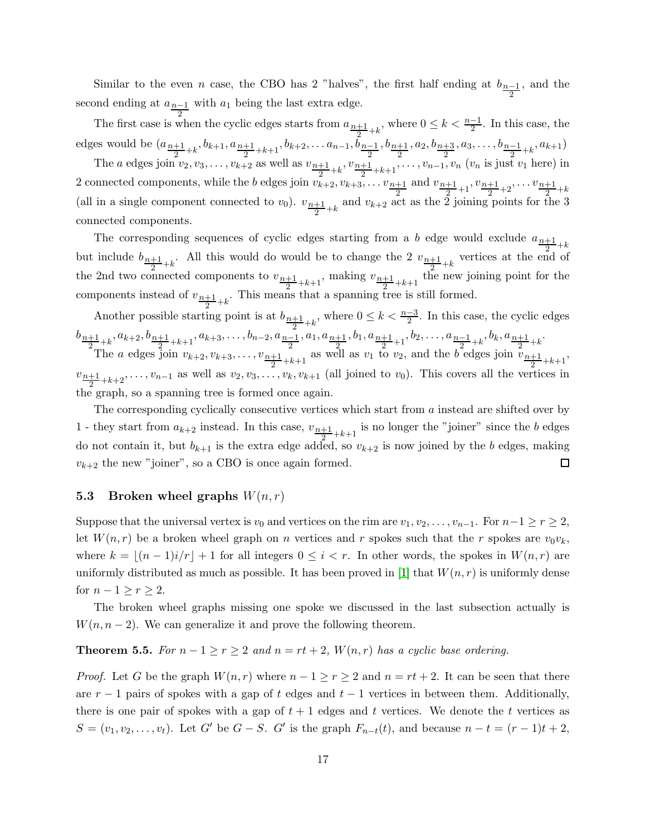Similar to the even *n* case, the CBO has 2 "halves", the first half ending at  $b_{n-1}$ 2 , and the second ending at  $a_{n-1}$  with  $a_1$  being the last extra edge.

2 The first case is when the cyclic edges starts from  $a_{n+1}$  $\frac{+1}{2}+k$ , where 0 ≤  $k < \frac{n-1}{2}$ . In this case, the edges would be  $(a_{n+1})$  $\frac{+1}{2}$ +k<sup>, b</sup>k+1,  $a_{\frac{n+1}{2}+k+1}$ ,  $b_{k+2}$ , ...  $a_{n-1}$ ,  $b_{\frac{n-1}{2}}$  $, b_{n+1}$  $\frac{1}{2}, a_2, b_{\frac{n+3}{2}}, a_3, \ldots, b_{\frac{n-1}{2}+k}, a_{k+1})$ 

The *a* edges join  $v_2, v_3, \ldots, v_{k+2}$  as well as  $v_{\frac{n+1}{2}+k}, v_{\frac{n+1}{2}}$  $\frac{+1}{2}$ +k+1</sub>,...,  $v_{n-1}$ ,  $v_n$  ( $v_n$  is just  $v_1$  here) in 2 connected components, while the *b* edges join  $v_{k+2}, v_{k+3}, \ldots v_{\frac{n+1}{2}}$ and  $v_{\frac{n+1}{2}}$  $\frac{+1}{2}+1$ ,  $\frac{v_{n+1}}{2}$  $\frac{+1}{2}$ +2<sup>, ...</sup>  $\frac{v_{n+1}}{2}$  $\frac{+1}{2} + k$ (all in a single component connected to  $v_0$ ).  $v_{\frac{n+1}{2}+k}$  and  $v_{k+2}$  act as the 2 joining points for the 3 connected components.

The corresponding sequences of cyclic edges starting from a b edge would exclude  $a_{\frac{n+1}{2}+k}$ but include  $b_{\frac{n+1}{2}+k}$ . All this would do would be to change the 2  $v_{\frac{n+1}{2}+k}$  vertices at the end of the 2nd two connected components to  $v_{n+1}$ ,  $v_{n+1}$ , making  $v_{n+1}$ ,  $v_{n+1}$ , then  $\frac{+1}{2}+k+1$ , making  $v_{\frac{n+1}{2}}$  $\frac{+1}{2}$ +k+1 the new joining point for the components instead of  $v_{n+1}$  $\frac{+1}{2}+k$ . This means that a spanning tree is still formed.

Another possible starting point is at  $b_{n+1}$  $\frac{+1}{2}+k$ , where 0 ≤  $k < \frac{n-3}{2}$ . In this case, the cyclic edges  $b_{n+1}$  $\frac{1}{2} + k$ ,  $a_{k+2}, b_{\frac{n+1}{2}+k+1}, a_{k+3}, \ldots, b_{n-2}, a_{\frac{n-1}{2}}, a_1, a_{\frac{n+1}{2}}, b_1, a_{\frac{n+1}{2}+1}, b_2, \ldots, a_{\frac{n-1}{2}+k}, b_k, a_{\frac{n+1}{2}}$  $\frac{+1}{2} + k$ 

The a edges join  $v_{k+2}, v_{k+3}, \ldots, v_{\frac{n+1}{2}+k+1}$  as well as  $v_1$  to  $v_2$ , and the b edges join  $v_{\frac{n+1}{2}+k+1}$ ,  $v_{n+1}$  $\frac{+1}{2}+k+2$ ,  $\ldots$ ,  $v_{n-1}$  as well as  $v_2, v_3, \ldots, v_k, v_{k+1}$  (all joined to  $v_0$ ). This covers all the vertices in the graph, so a spanning tree is formed once again.

The corresponding cyclically consecutive vertices which start from a instead are shifted over by 1 - they start from  $a_{k+2}$  instead. In this case,  $v_{n+1}$  is no longer the "joiner" since the b edges do not contain it, but  $b_{k+1}$  is the extra edge added, so  $v_{k+2}$  is now joined by the b edges, making  $v_{k+2}$  the new "joiner", so a CBO is once again formed.  $\Box$ 

### <span id="page-16-0"></span>5.3 Broken wheel graphs  $W(n,r)$

Suppose that the universal vertex is  $v_0$  and vertices on the rim are  $v_1, v_2, \ldots, v_{n-1}$ . For  $n-1 \ge r \ge 2$ , let  $W(n,r)$  be a broken wheel graph on n vertices and r spokes such that the r spokes are  $v_0v_k$ , where  $k = \lfloor (n-1)i/r \rfloor + 1$  for all integers  $0 \leq i < r$ . In other words, the spokes in  $W(n,r)$  are uniformly distributed as much as possible. It has been proved in [\[1\]](#page-23-2) that  $W(n, r)$  is uniformly dense for  $n-1 \geq r \geq 2$ .

The broken wheel graphs missing one spoke we discussed in the last subsection actually is  $W(n, n - 2)$ . We can generalize it and prove the following theorem.

#### **Theorem 5.5.** For  $n-1 \ge r \ge 2$  and  $n = rt + 2$ ,  $W(n,r)$  has a cyclic base ordering.

*Proof.* Let G be the graph  $W(n,r)$  where  $n-1 \geq r \geq 2$  and  $n = rt + 2$ . It can be seen that there are  $r - 1$  pairs of spokes with a gap of t edges and  $t - 1$  vertices in between them. Additionally, there is one pair of spokes with a gap of  $t + 1$  edges and t vertices. We denote the t vertices as  $S = (v_1, v_2, \dots, v_t)$ . Let G' be  $G - S$ . G' is the graph  $F_{n-t}(t)$ , and because  $n - t = (r - 1)t + 2$ ,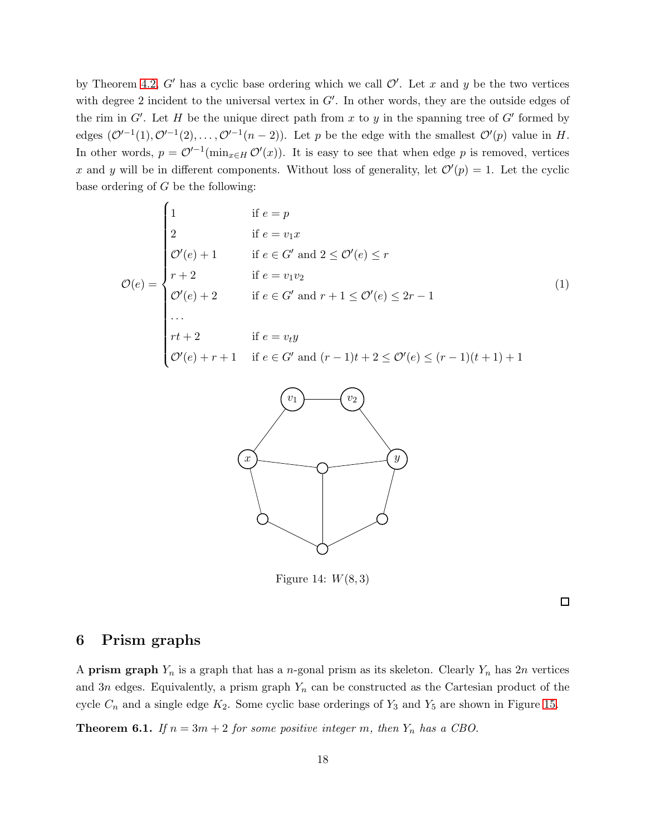by Theorem [4.2,](#page-12-0) G' has a cyclic base ordering which we call  $\mathcal{O}'$ . Let x and y be the two vertices with degree 2 incident to the universal vertex in  $G'$ . In other words, they are the outside edges of the rim in  $G'$ . Let H be the unique direct path from x to y in the spanning tree of  $G'$  formed by edges  $(\mathcal{O}^{\prime-1}(1), \mathcal{O}^{\prime-1}(2), \ldots, \mathcal{O}^{\prime-1}(n-2))$ . Let p be the edge with the smallest  $\mathcal{O}'(p)$  value in H. In other words,  $p = \mathcal{O}^{(-1)}(\min_{x \in H} \mathcal{O}'(x))$ . It is easy to see that when edge p is removed, vertices x and y will be in different components. Without loss of generality, let  $\mathcal{O}'(p) = 1$ . Let the cyclic base ordering of  $G$  be the following:

$$
\mathcal{O}(e) = \begin{cases}\n1 & \text{if } e = p \\
2 & \text{if } e = v_1 x \\
\mathcal{O}'(e) + 1 & \text{if } e \in G' \text{ and } 2 \le \mathcal{O}'(e) \le r \\
r + 2 & \text{if } e = v_1 v_2 \\
\mathcal{O}'(e) + 2 & \text{if } e \in G' \text{ and } r + 1 \le \mathcal{O}'(e) \le 2r - 1 \\
\cdots & \cdots & \cdots \\
rt + 2 & \text{if } e = v_t y \\
\mathcal{O}'(e) + r + 1 & \text{if } e \in G' \text{ and } (r - 1)t + 2 \le \mathcal{O}'(e) \le (r - 1)(t + 1) + 1\n\end{cases}
$$
\n(1)



Figure 14:  $W(8, 3)$ 

 $\Box$ 

## <span id="page-17-0"></span>6 Prism graphs

A **prism graph**  $Y_n$  is a graph that has a *n*-gonal prism as its skeleton. Clearly  $Y_n$  has 2*n* vertices and 3n edges. Equivalently, a prism graph  $Y_n$  can be constructed as the Cartesian product of the cycle  $C_n$  and a single edge  $K_2$ . Some cyclic base orderings of  $Y_3$  and  $Y_5$  are shown in Figure [15.](#page-18-0)

**Theorem 6.1.** If  $n = 3m + 2$  for some positive integer m, then  $Y_n$  has a CBO.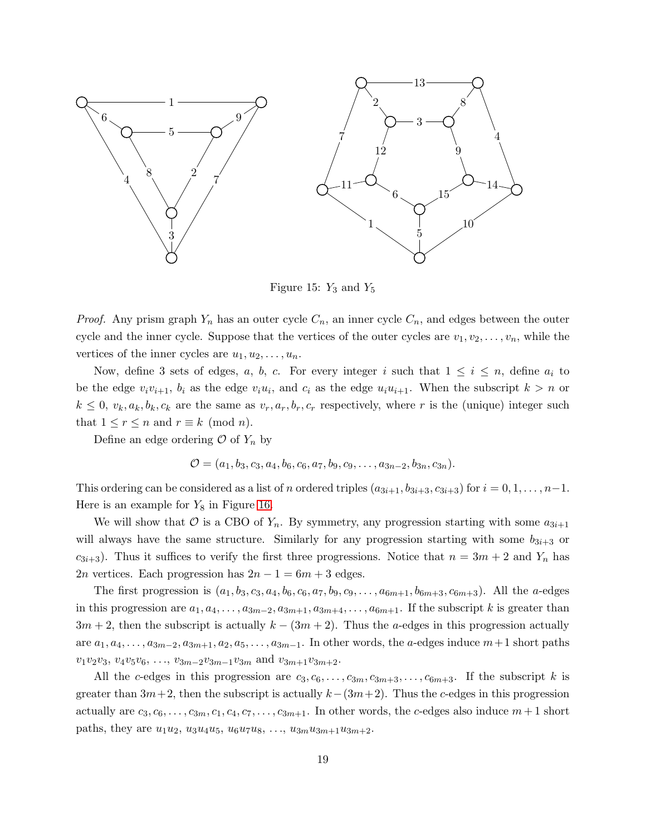

<span id="page-18-0"></span>Figure 15:  $Y_3$  and  $Y_5$ 

*Proof.* Any prism graph  $Y_n$  has an outer cycle  $C_n$ , an inner cycle  $C_n$ , and edges between the outer cycle and the inner cycle. Suppose that the vertices of the outer cycles are  $v_1, v_2, \ldots, v_n$ , while the vertices of the inner cycles are  $u_1, u_2, \ldots, u_n$ .

Now, define 3 sets of edges, a, b, c. For every integer i such that  $1 \leq i \leq n$ , define  $a_i$  to be the edge  $v_i v_{i+1}$ ,  $b_i$  as the edge  $v_i u_i$ , and  $c_i$  as the edge  $u_i u_{i+1}$ . When the subscript  $k > n$  or  $k \leq 0$ ,  $v_k, a_k, b_k, c_k$  are the same as  $v_r, a_r, b_r, c_r$  respectively, where r is the (unique) integer such that  $1 \le r \le n$  and  $r \equiv k \pmod{n}$ .

Define an edge ordering  $\mathcal O$  of  $Y_n$  by

$$
\mathcal{O} = (a_1, b_3, c_3, a_4, b_6, c_6, a_7, b_9, c_9, \ldots, a_{3n-2}, b_{3n}, c_{3n}).
$$

This ordering can be considered as a list of n ordered triples  $(a_{3i+1}, b_{3i+3}, c_{3i+3})$  for  $i = 0, 1, \ldots, n-1$ . Here is an example for  $Y_8$  in Figure [16.](#page-19-0)

We will show that  $\mathcal O$  is a CBO of  $Y_n$ . By symmetry, any progression starting with some  $a_{3i+1}$ will always have the same structure. Similarly for any progression starting with some  $b_{3i+3}$  or  $c_{3i+3}$ ). Thus it suffices to verify the first three progressions. Notice that  $n = 3m + 2$  and  $Y_n$  has 2n vertices. Each progression has  $2n - 1 = 6m + 3$  edges.

The first progression is  $(a_1, b_3, c_3, a_4, b_6, c_6, a_7, b_9, c_9, \ldots, a_{6m+1}, b_{6m+3}, c_{6m+3})$ . All the *a*-edges in this progression are  $a_1, a_4, \ldots, a_{3m-2}, a_{3m+1}, a_{3m+4}, \ldots, a_{6m+1}$ . If the subscript k is greater than  $3m + 2$ , then the subscript is actually  $k - (3m + 2)$ . Thus the a-edges in this progression actually are  $a_1, a_4, \ldots, a_{3m-2}, a_{3m+1}, a_2, a_5, \ldots, a_{3m-1}$ . In other words, the a-edges induce  $m+1$  short paths  $v_1v_2v_3, v_4v_5v_6, \ldots, v_{3m-2}v_{3m-1}v_{3m}$  and  $v_{3m+1}v_{3m+2}$ .

All the c-edges in this progression are  $c_3, c_6, \ldots, c_{3m}, c_{3m+3}, \ldots, c_{6m+3}$ . If the subscript k is greater than  $3m+2$ , then the subscript is actually  $k-(3m+2)$ . Thus the c-edges in this progression actually are  $c_3, c_6, \ldots, c_{3m}, c_1, c_4, c_7, \ldots, c_{3m+1}$ . In other words, the c-edges also induce  $m+1$  short paths, they are  $u_1u_2$ ,  $u_3u_4u_5$ ,  $u_6u_7u_8$ , ...,  $u_{3m}u_{3m+1}u_{3m+2}$ .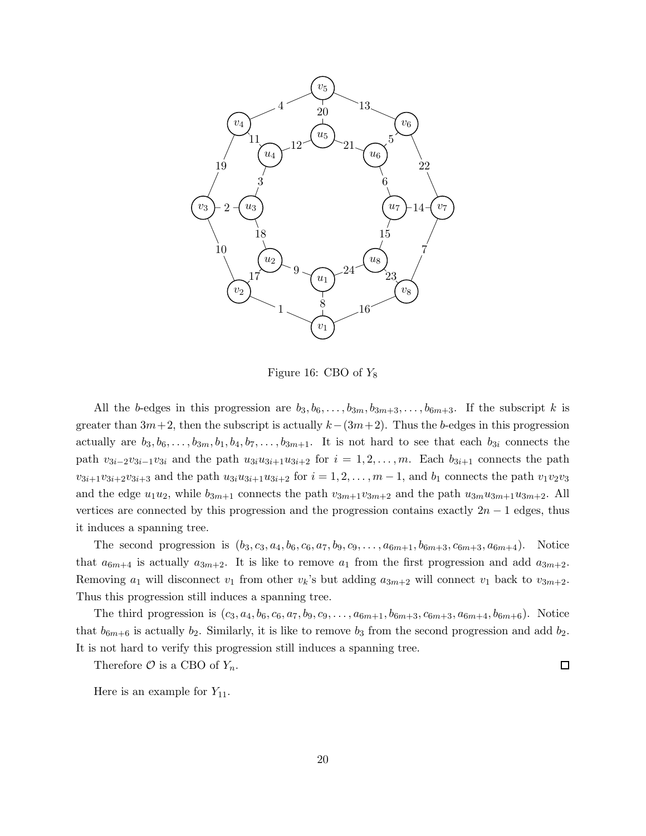

<span id="page-19-0"></span>Figure 16: CBO of  $Y_8$ 

All the b-edges in this progression are  $b_3, b_6, \ldots, b_{3m}, b_{3m+3}, \ldots, b_{6m+3}$ . If the subscript k is greater than  $3m+2$ , then the subscript is actually  $k-(3m+2)$ . Thus the b-edges in this progression actually are  $b_3, b_6, \ldots, b_{3m}, b_1, b_4, b_7, \ldots, b_{3m+1}$ . It is not hard to see that each  $b_{3i}$  connects the path  $v_{3i-2}v_{3i-1}v_{3i}$  and the path  $u_{3i}u_{3i+1}u_{3i+2}$  for  $i = 1, 2, ..., m$ . Each  $b_{3i+1}$  connects the path  $v_{3i+1}v_{3i+2}v_{3i+3}$  and the path  $u_{3i}u_{3i+1}u_{3i+2}$  for  $i = 1, 2, ..., m-1$ , and  $b_1$  connects the path  $v_1v_2v_3$ and the edge  $u_1u_2$ , while  $b_{3m+1}$  connects the path  $v_{3m+1}v_{3m+2}$  and the path  $u_{3m}u_{3m+1}u_{3m+2}$ . All vertices are connected by this progression and the progression contains exactly  $2n - 1$  edges, thus it induces a spanning tree.

The second progression is  $(b_3, c_3, a_4, b_6, c_6, a_7, b_9, c_9, \ldots, a_{6m+1}, b_{6m+3}, c_{6m+3}, a_{6m+4})$ . Notice that  $a_{6m+4}$  is actually  $a_{3m+2}$ . It is like to remove  $a_1$  from the first progression and add  $a_{3m+2}$ . Removing  $a_1$  will disconnect  $v_1$  from other  $v_k$ 's but adding  $a_{3m+2}$  will connect  $v_1$  back to  $v_{3m+2}$ . Thus this progression still induces a spanning tree.

The third progression is  $(c_3, a_4, b_6, c_6, a_7, b_9, c_9, \ldots, a_{6m+1}, b_{6m+3}, c_{6m+3}, a_{6m+4}, b_{6m+6})$ . Notice that  $b_{6m+6}$  is actually  $b_2$ . Similarly, it is like to remove  $b_3$  from the second progression and add  $b_2$ . It is not hard to verify this progression still induces a spanning tree.

Therefore  $\mathcal O$  is a CBO of  $Y_n$ .

 $\Box$ 

Here is an example for  $Y_{11}$ .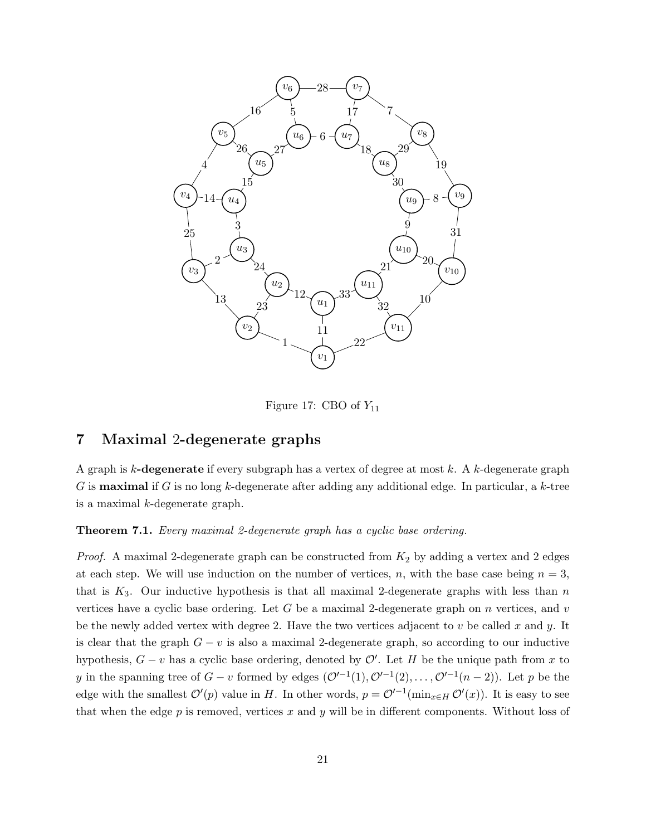

Figure 17: CBO of  $Y_{11}$ 

# <span id="page-20-0"></span>7 Maximal 2-degenerate graphs

A graph is  $k$ -degenerate if every subgraph has a vertex of degree at most  $k$ . A  $k$ -degenerate graph G is **maximal** if G is no long k-degenerate after adding any additional edge. In particular, a k-tree is a maximal k-degenerate graph.

Theorem 7.1. Every maximal 2-degenerate graph has a cyclic base ordering.

*Proof.* A maximal 2-degenerate graph can be constructed from  $K_2$  by adding a vertex and 2 edges at each step. We will use induction on the number of vertices, n, with the base case being  $n = 3$ , that is  $K_3$ . Our inductive hypothesis is that all maximal 2-degenerate graphs with less than n vertices have a cyclic base ordering. Let  $G$  be a maximal 2-degenerate graph on  $n$  vertices, and  $v$ be the newly added vertex with degree 2. Have the two vertices adjacent to  $v$  be called  $x$  and  $y$ . It is clear that the graph  $G - v$  is also a maximal 2-degenerate graph, so according to our inductive hypothesis,  $G - v$  has a cyclic base ordering, denoted by  $\mathcal{O}'$ . Let H be the unique path from x to y in the spanning tree of  $G - v$  formed by edges  $(\mathcal{O}'^{-1}(1), \mathcal{O}'^{-1}(2), \ldots, \mathcal{O}'^{-1}(n-2))$ . Let p be the edge with the smallest  $\mathcal{O}'(p)$  value in H. In other words,  $p = \mathcal{O}'^{-1}(\min_{x \in H} \mathcal{O}'(x))$ . It is easy to see that when the edge  $p$  is removed, vertices  $x$  and  $y$  will be in different components. Without loss of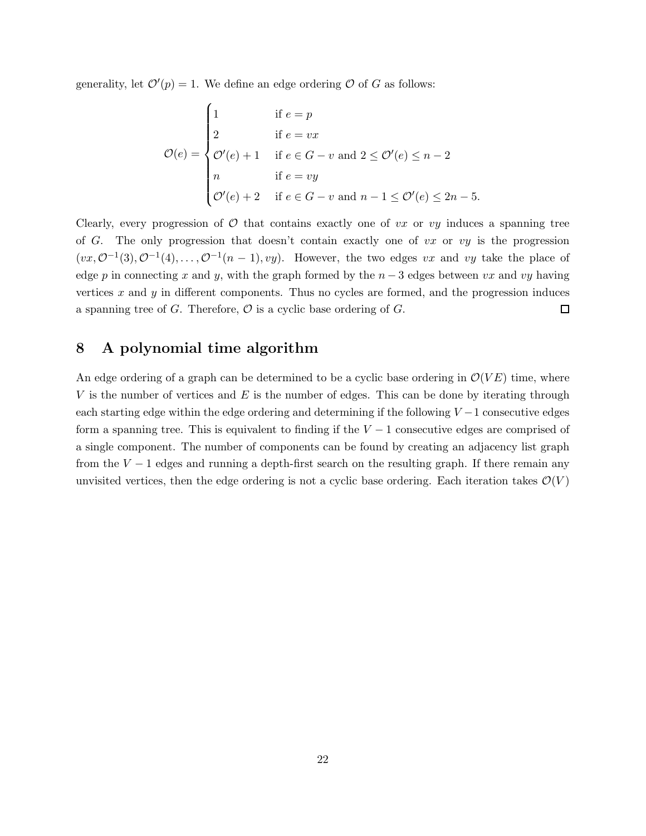generality, let  $\mathcal{O}'(p) = 1$ . We define an edge ordering  $\mathcal O$  of G as follows:

$$
\mathcal{O}(e) = \begin{cases}\n1 & \text{if } e = p \\
2 & \text{if } e = vx \\
\mathcal{O}'(e) + 1 & \text{if } e \in G - v \text{ and } 2 \le \mathcal{O}'(e) \le n - 2 \\
n & \text{if } e = vy \\
\mathcal{O}'(e) + 2 & \text{if } e \in G - v \text{ and } n - 1 \le \mathcal{O}'(e) \le 2n - 5.\n\end{cases}
$$

Clearly, every progression of  $\mathcal O$  that contains exactly one of vx or vy induces a spanning tree of G. The only progression that doesn't contain exactly one of  $vx$  or  $vy$  is the progression  $(vx, \mathcal{O}^{-1}(3), \mathcal{O}^{-1}(4), \ldots, \mathcal{O}^{-1}(n-1), vy)$ . However, the two edges vx and vy take the place of edge p in connecting x and y, with the graph formed by the  $n-3$  edges between vx and vy having vertices  $x$  and  $y$  in different components. Thus no cycles are formed, and the progression induces a spanning tree of  $G$ . Therefore,  $\mathcal O$  is a cyclic base ordering of  $G$ .  $\Box$ 

# <span id="page-21-0"></span>8 A polynomial time algorithm

An edge ordering of a graph can be determined to be a cyclic base ordering in  $\mathcal{O}(VE)$  time, where V is the number of vertices and  $E$  is the number of edges. This can be done by iterating through each starting edge within the edge ordering and determining if the following  $V - 1$  consecutive edges form a spanning tree. This is equivalent to finding if the  $V - 1$  consecutive edges are comprised of a single component. The number of components can be found by creating an adjacency list graph from the  $V - 1$  edges and running a depth-first search on the resulting graph. If there remain any unvisited vertices, then the edge ordering is not a cyclic base ordering. Each iteration takes  $\mathcal{O}(V)$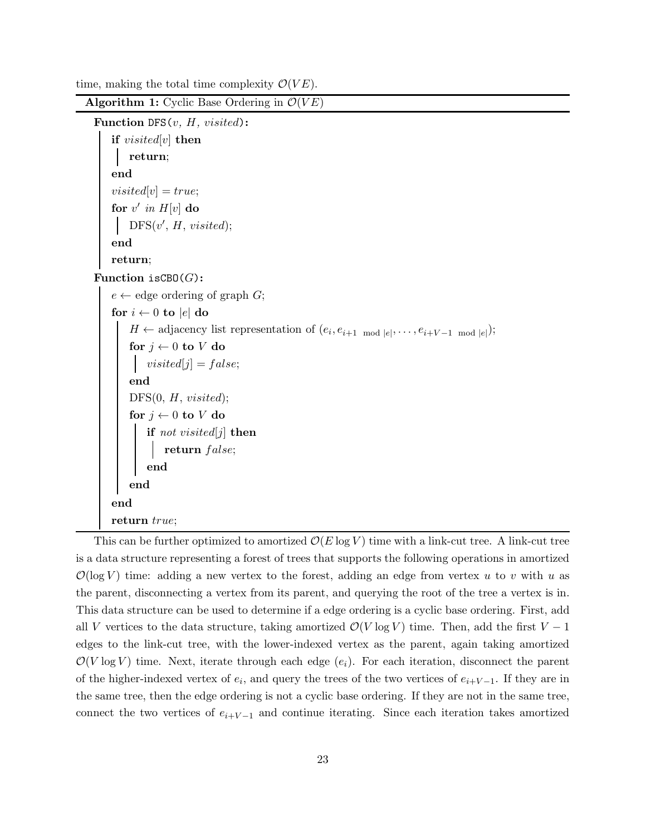time, making the total time complexity  $\mathcal{O}(VE)$ .

```
Algorithm 1: Cyclic Base Ordering in \mathcal{O}(VE)Function DFS(v, H, visited):
      if visited[v] then
          return;
      end
      visited[v] = true;for v' in H[v] do
           DFS(v', H, visited);end
      return;
 Function isCBO(G):
      e \leftarrow edge ordering of graph G;
      for i \leftarrow 0 to |e| do
           H \leftarrow \text{adjacency list representation of } (e_i, e_{i+1} \mod |e|, \dots, e_{i+V-1} \mod |e|);for j \leftarrow 0 to V do
           \big| \quad visited[j] = false;end
          DFS(0, H, visited);for j \leftarrow 0 to V do
               \mathbf{if} \ \mathit{not} \ \mathit{visited[j]} \ \mathbf{then}return \ \textit{false};end
          end
      end
      return true;
```
This can be further optimized to amortized  $\mathcal{O}(E \log V)$  time with a link-cut tree. A link-cut tree is a data structure representing a forest of trees that supports the following operations in amortized  $\mathcal{O}(\log V)$  time: adding a new vertex to the forest, adding an edge from vertex u to v with u as the parent, disconnecting a vertex from its parent, and querying the root of the tree a vertex is in. This data structure can be used to determine if a edge ordering is a cyclic base ordering. First, add all V vertices to the data structure, taking amortized  $\mathcal{O}(V \log V)$  time. Then, add the first  $V - 1$ edges to the link-cut tree, with the lower-indexed vertex as the parent, again taking amortized  $\mathcal{O}(V \log V)$  time. Next, iterate through each edge  $(e_i)$ . For each iteration, disconnect the parent of the higher-indexed vertex of  $e_i$ , and query the trees of the two vertices of  $e_{i+1}$ . If they are in the same tree, then the edge ordering is not a cyclic base ordering. If they are not in the same tree, connect the two vertices of  $e_{i+V-1}$  and continue iterating. Since each iteration takes amortized